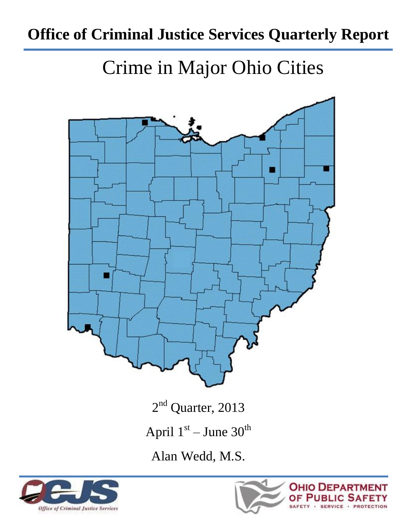## **Office of Criminal Justice Services Quarterly Report**

# Crime in Major Ohio Cities



2<sup>nd</sup> Quarter, 2013

April  $1<sup>st</sup>$  – June  $30<sup>th</sup>$ 

Alan Wedd, M.S.



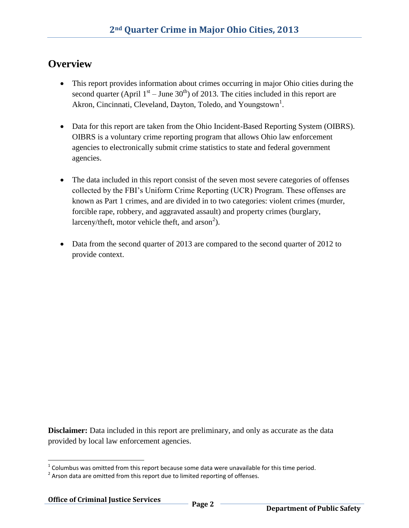#### **Overview**

- This report provides information about crimes occurring in major Ohio cities during the second quarter (April  $1<sup>st</sup>$  – June 30<sup>th</sup>) of 2013. The cities included in this report are Akron, Cincinnati, Cleveland, Dayton, Toledo, and Youngstown<sup>1</sup>.
- Data for this report are taken from the Ohio Incident-Based Reporting System (OIBRS). OIBRS is a voluntary crime reporting program that allows Ohio law enforcement agencies to electronically submit crime statistics to state and federal government agencies.
- The data included in this report consist of the seven most severe categories of offenses collected by the FBI's Uniform Crime Reporting (UCR) Program. These offenses are known as Part 1 crimes, and are divided in to two categories: violent crimes (murder, forcible rape, robbery, and aggravated assault) and property crimes (burglary, larceny/theft, motor vehicle theft, and  $arson^2$ ).
- Data from the second quarter of 2013 are compared to the second quarter of 2012 to provide context.

**Disclaimer:** Data included in this report are preliminary, and only as accurate as the data provided by local law enforcement agencies.

l

 $1$  Columbus was omitted from this report because some data were unavailable for this time period.

 $2$  Arson data are omitted from this report due to limited reporting of offenses.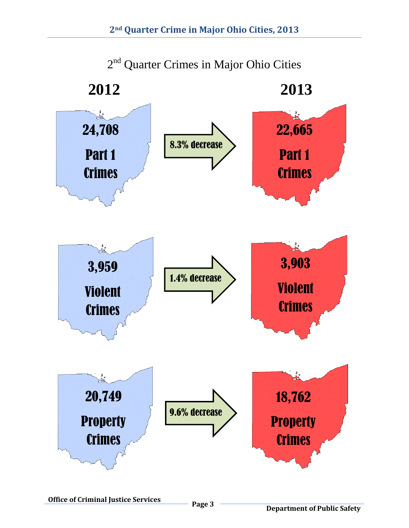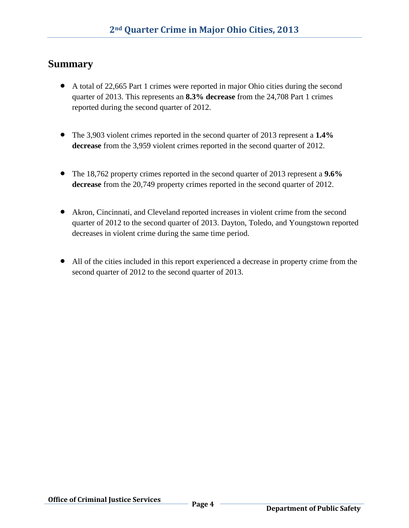#### **Summary**

- A total of 22,665 Part 1 crimes were reported in major Ohio cities during the second quarter of 2013. This represents an **8.3% decrease** from the 24,708 Part 1 crimes reported during the second quarter of 2012.
- The 3,903 violent crimes reported in the second quarter of 2013 represent a **1.4% decrease** from the 3,959 violent crimes reported in the second quarter of 2012.
- The 18,762 property crimes reported in the second quarter of 2013 represent a **9.6% decrease** from the 20,749 property crimes reported in the second quarter of 2012.
- Akron, Cincinnati, and Cleveland reported increases in violent crime from the second quarter of 2012 to the second quarter of 2013. Dayton, Toledo, and Youngstown reported decreases in violent crime during the same time period.
- All of the cities included in this report experienced a decrease in property crime from the second quarter of 2012 to the second quarter of 2013.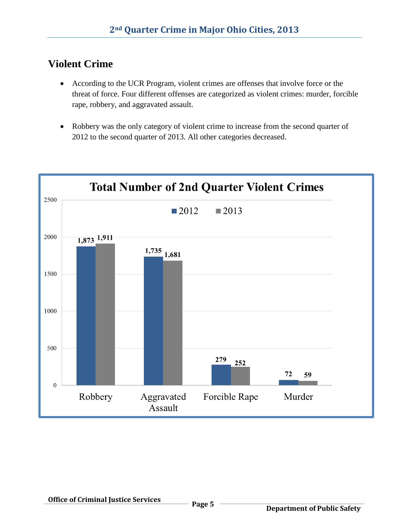### **Violent Crime**

- According to the UCR Program, violent crimes are offenses that involve force or the threat of force. Four different offenses are categorized as violent crimes: murder, forcible rape, robbery, and aggravated assault.
- Robbery was the only category of violent crime to increase from the second quarter of 2012 to the second quarter of 2013. All other categories decreased.

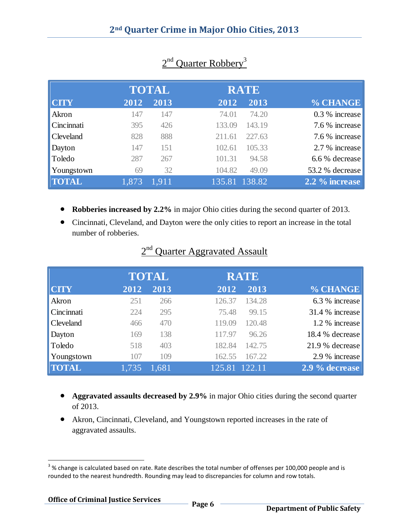|                  |       | <b>TOTAL</b> |               | <b>RATE</b> |                 |
|------------------|-------|--------------|---------------|-------------|-----------------|
| <b>CITY</b>      | 2012  | 2013         | 2012          | 2013        | % CHANGE        |
| Akron            | 147   | 147          | 74.01         | 74.20       | 0.3 % increase  |
| Cincinnati       | 395   | 426          | 133.09        | 143.19      | 7.6 % increase  |
| <b>Cleveland</b> | 828   | 888          | 211.61        | 227.63      | 7.6 % increase  |
| Dayton           | 147   | 151          | 102.61        | 105.33      | 2.7 % increase  |
| Toledo           | 287   | 267          | 101.31        | 94.58       | 6.6 % decrease  |
| Youngstown       | 69    | 32           | 104.82        | 49.09       | 53.2 % decrease |
| <b>TOTAL</b>     | 1,873 | 1.911        | 135.81 138.82 |             | 2.2 % increase  |

### 2<sup>nd</sup> Quarter Robbery<sup>3</sup>

- **Robberies increased by 2.2%** in major Ohio cities during the second quarter of 2013.
- Cincinnati, Cleveland, and Dayton were the only cities to report an increase in the total number of robberies.

|              |       | <b>TOTAL</b> |               | <b>RATE</b> |                 |
|--------------|-------|--------------|---------------|-------------|-----------------|
| <b>CITY</b>  | 2012  | 2013         | 2012          | 2013        | % CHANGE        |
| Akron        | 251   | 266          | 126.37        | 134.28      | 6.3 % increase  |
| Cincinnati   | 224   | 295          | 75.48         | 99.15       | 31.4 % increase |
| Cleveland    | 466   | 470          | 119.09        | 120.48      | 1.2 % increase  |
| Dayton       | 169   | 138          | 117.97        | 96.26       | 18.4 % decrease |
| Toledo       | 518   | 403          | 182.84        | 142.75      | 21.9 % decrease |
| Youngstown   | 107   | 109          | 162.55        | 167.22      | 2.9 % increase  |
| <b>TOTAL</b> | 1,735 | 1.681        | 125.81 122.11 |             | 2.9 % decrease  |

#### 2<sup>nd</sup> Quarter Aggravated Assault

- **Aggravated assaults decreased by 2.9%** in major Ohio cities during the second quarter of 2013.
- Akron, Cincinnati, Cleveland, and Youngstown reported increases in the rate of aggravated assaults.

l  $3\%$  change is calculated based on rate. Rate describes the total number of offenses per 100,000 people and is rounded to the nearest hundredth. Rounding may lead to discrepancies for column and row totals.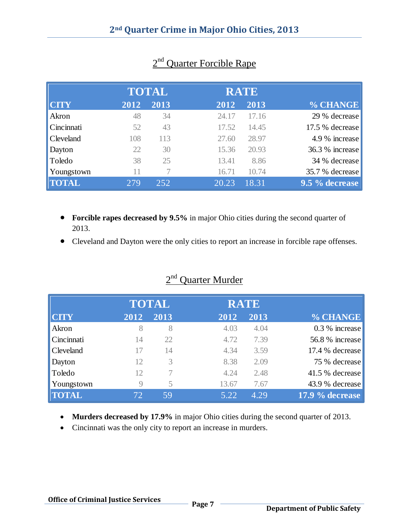|                  |      | <b>TOTAL</b> |       | <b>RATE</b> |                 |
|------------------|------|--------------|-------|-------------|-----------------|
| <b>CTY</b>       | 2012 | 2013         | 2012  | 2013        | % CHANGE        |
| Akron            | 48   | 34           | 24.17 | 17.16       | 29 % decrease   |
| Cincinnati       | 52   | 43           | 17.52 | 14.45       | 17.5 % decrease |
| <b>Cleveland</b> | 108  | 113          | 27.60 | 28.97       | 4.9 % increase  |
| Dayton           | 22   | 30           | 15.36 | 20.93       | 36.3 % increase |
| Toledo           | 38   | 25           | 13.41 | 8.86        | 34 % decrease   |
| Youngstown       | 11   |              | 16.71 | 10.74       | 35.7 % decrease |
| <b>TOTAL</b>     | 279  | 252          | 20.23 | 18.31       | 9.5 % decrease  |

### 2<sup>nd</sup> Quarter Forcible Rape

- **Forcible rapes decreased by 9.5%** in major Ohio cities during the second quarter of 2013.
- Cleveland and Dayton were the only cities to report an increase in forcible rape offenses.

|              |      | <b>TOTAL</b> |       | <b>RATE</b> |                 |
|--------------|------|--------------|-------|-------------|-----------------|
| <b>CITY</b>  | 2012 | 2013         | 2012  | 2013        | % CHANGE        |
| Akron        | 8    | 8            | 4.03  | 4.04        | 0.3 % increase  |
| Cincinnati   | 14   | 22           | 4.72  | 7.39        | 56.8 % increase |
| Cleveland    | 17   | 14           | 4.34  | 3.59        | 17.4 % decrease |
| Dayton       | 12   | 3            | 8.38  | 2.09        | 75 % decrease   |
| Toledo       | 12   |              | 4.24  | 2.48        | 41.5 % decrease |
| Youngstown   | 9    | 5            | 13.67 | 7.67        | 43.9 % decrease |
| <b>TOTAL</b> | 72   | 59           | 5.22  | 4.29        | 17.9 % decrease |
|              |      |              |       |             |                 |

### 2<sup>nd</sup> Quarter Murder

- **Murders decreased by 17.9%** in major Ohio cities during the second quarter of 2013.
- Cincinnati was the only city to report an increase in murders.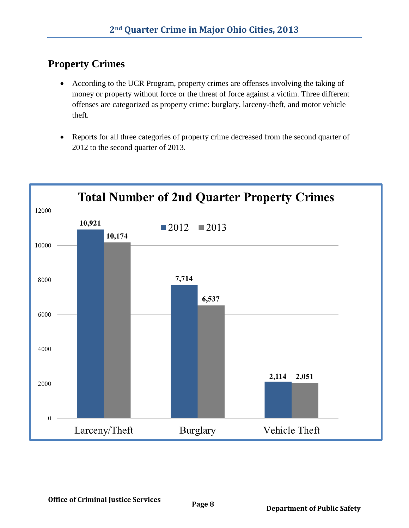### **Property Crimes**

- According to the UCR Program, property crimes are offenses involving the taking of money or property without force or the threat of force against a victim. Three different offenses are categorized as property crime: burglary, larceny-theft, and motor vehicle theft.
- Reports for all three categories of property crime decreased from the second quarter of 2012 to the second quarter of 2013.

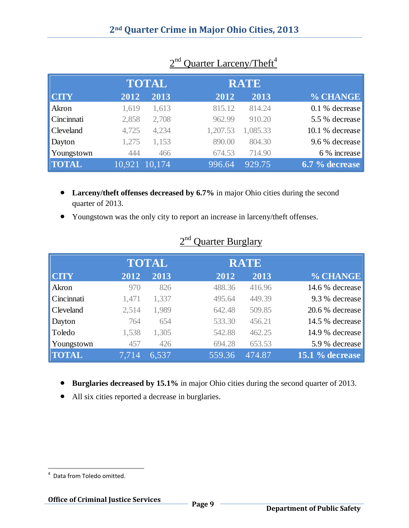|                      |               | <b>TOTAL</b> |          | <b>RATE</b> |                 |
|----------------------|---------------|--------------|----------|-------------|-----------------|
| <b>CTY</b>           | 2012          | 2013         | 2012     | 2013        | % CHANGE        |
| Akron                | 1,619         | 1,613        | 815.12   | 814.24      | 0.1 % decrease  |
| $\mathbf$ Cincinnati | 2,858         | 2,708        | 962.99   | 910.20      | 5.5 % decrease  |
| <b>Cleveland</b>     | 4,725         | 4,234        | 1,207.53 | 1,085.33    | 10.1 % decrease |
| Dayton               | 1,275         | 1,153        | 890.00   | 804.30      | 9.6 % decrease  |
| Youngstown           | 444           | 466          | 674.53   | 714.90      | 6 % increase    |
| <b>TOTAL</b>         | 10,921 10,174 |              | 996.64   | 929.75      | 6.7 % decrease  |

#### 2  $2<sup>nd</sup>$  Quarter Larceny/Theft<sup>4</sup>

- **Larceny/theft offenses decreased by 6.7%** in major Ohio cities during the second quarter of 2013.
- Youngstown was the only city to report an increase in larceny/theft offenses.

|              |       | <b>TOTAL</b> |        | <b>RATE</b> |                   |
|--------------|-------|--------------|--------|-------------|-------------------|
| <b>CITY</b>  | 2012  | 2013         | 2012   | 2013        | % CHANGE          |
| Akron        | 970   | 826          | 488.36 | 416.96      | 14.6 % decrease   |
| Cincinnati   | 1,471 | 1,337        | 495.64 | 449.39      | 9.3 % decrease    |
| Cleveland    | 2,514 | 1,989        | 642.48 | 509.85      | 20.6 % decrease   |
| Dayton       | 764   | 654          | 533.30 | 456.21      | 14.5 % decrease   |
| Toledo       | 1,538 | 1,305        | 542.88 | 462.25      | 14.9 % decrease   |
| Youngstown   | 457   | 426          | 694.28 | 653.53      | 5.9 % decrease    |
| <b>TOTAL</b> | 7.714 | 6.537        | 559.36 | 474.87      | 15.1 $%$ decrease |

#### <u>2</u> 2  $2<sup>nd</sup>$  Quarter Burglary

- **Burglaries decreased by 15.1%** in major Ohio cities during the second quarter of 2013.
- All six cities reported a decrease in burglaries.

 $\overline{\phantom{a}}$ 

<sup>&</sup>lt;sup>4</sup> Data from Toledo omitted.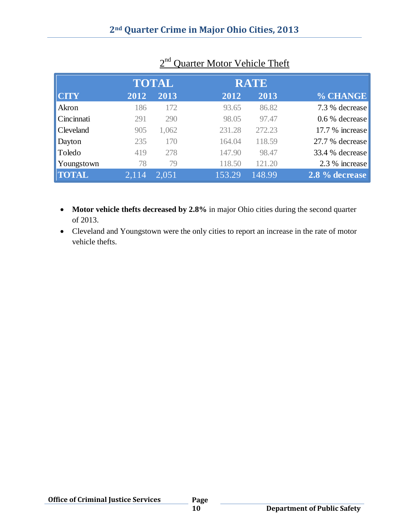|              |       | <b>TOTAL</b> |        | <b>RATE</b> |                 |
|--------------|-------|--------------|--------|-------------|-----------------|
| <b>CITY</b>  | 2012  | 2013         | 2012   | 2013        | % CHANGE        |
| Akron        | 186   | 172          | 93.65  | 86.82       | 7.3 % decrease  |
| Cincinnati   | 291   | 290          | 98.05  | 97.47       | 0.6 % decrease  |
| Cleveland    | 905   | 1,062        | 231.28 | 272.23      | 17.7 % increase |
| Dayton       | 235   | 170          | 164.04 | 118.59      | 27.7 % decrease |
| Toledo       | 419   | 278          | 147.90 | 98.47       | 33.4 % decrease |
| Youngstown   | 78    | 79           | 118.50 | 121.20      | 2.3 % increase  |
| <b>TOTAL</b> | 2,114 | 2,051        | 153.29 | 148.99      | 2.8 % decrease  |

#### 2 2<sup>nd</sup> Quarter Motor Vehicle Theft

- Motor vehicle thefts decreased by 2.8% in major Ohio cities during the second quarter of 2013.
- Cleveland and Youngstown were the only cities to report an increase in the rate of motor vehicle thefts.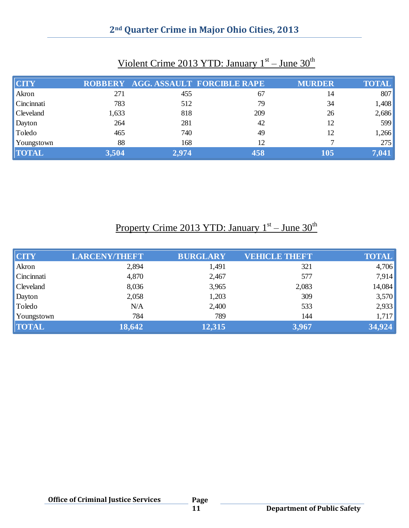#### **2nd Quarter Crime in Major Ohio Cities, 2013**

| <b>CTY</b>       |       |       | ROBBERY AGG. ASSAULT FORCIBLE RAPE | <b>MURDER</b> | <b>TOTAL</b> |
|------------------|-------|-------|------------------------------------|---------------|--------------|
| Akron            | 271   | 455   | 67                                 | 14            | 807          |
| Cincinnati       | 783   | 512   | 79                                 | 34            | 1,408        |
| <b>Cleveland</b> | 1,633 | 818   | 209                                | 26            | 2,686        |
| Dayton           | 264   | 281   | 42                                 | 12            | 599          |
| Toledo           | 465   | 740   | 49                                 | 12            | 1,266        |
| Youngstown       | 88    | 168   | 12                                 |               | 275          |
| <b>TOTAL</b>     | 3,504 | 2,974 | 458                                | 105           | 7,041        |

#### Violent Crime 2013 YTD: January 1<sup>st</sup> – June 30<sup>th</sup>

Property Crime 2013 YTD: January 1<sup>st</sup> – June 30<sup>th</sup>

| <b>CITY</b>  | <b>LARCENY/THEFT</b> | <b>BURGLARY</b> | <b>VEHICLE THEFT</b> | <b>TOTAL</b> |
|--------------|----------------------|-----------------|----------------------|--------------|
| Akron        | 2,894                | 1,491           | 321                  | 4,706        |
| Cincinnati   | 4,870                | 2,467           | 577                  | 7,914        |
| Cleveland    | 8,036                | 3,965           | 2,083                | 14,084       |
| Dayton       | 2,058                | 1,203           | 309                  | 3,570        |
| Toledo       | N/A                  | 2,400           | 533                  | 2,933        |
| Youngstown   | 784                  | 789             | 144                  | 1,717        |
| <b>TOTAL</b> | 18,642               | 12,315          | 3,967                | 34,924       |